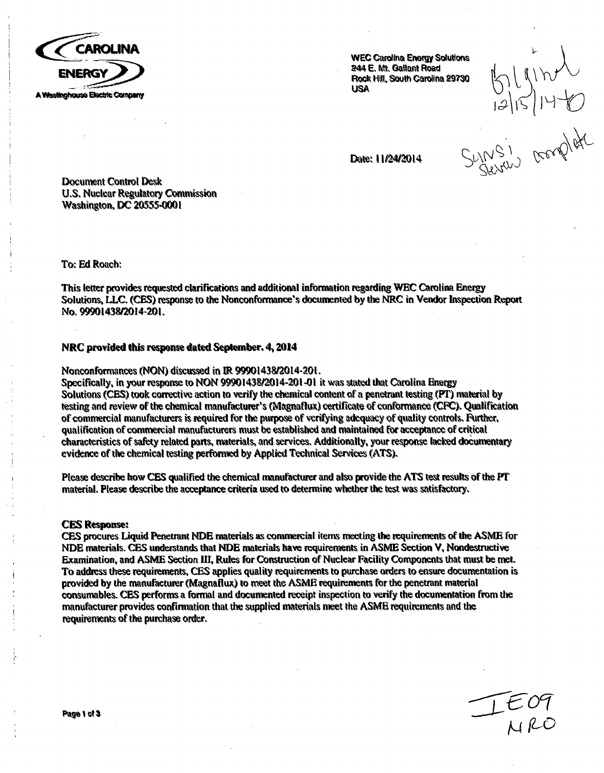

**E.** Mt. Gallant Road<br>
Rock Hill, South Carolina 29790<br>
USA<br>
Date: 11/24/2014<br>
Date: 11/24/2014<br>
SUNNS

Date: 11/24/2014

Document Control Desk **U.S. Nuclear Regulatory Commission** Washinglon, **DC** 20555-0001

To: Ed Roach:

This letter provides requested clarifications and additional information regarding WEC Carolina Energy<br>Solutions, LLC. (CES) response to the Nonconformance's documented by the NRC in Vendor Inspection Report<br>No. 99901438/2

### NRC provided this response dated September, 4, 2014

Nonconformances (NON) discussed in IR 99901438/2014-201.

Specifically, in your response to NON 99901438/2014-201-01 it was stated that Carolina Energy<br>Solutions (CES) took corrective action to verify the chemical content of a penetrant testing (PT) material by<br>testing and review characteristics of **safty** related parts, materials, and services, Additionally, your response lacked documentary evidence of the chemical testing perfomed by Applied Technical Semrvice (ATS),

Please describe how CES qualified the chemical manufacturer and also provide the ATS test results of the PT material. Please describe the acceptance criteria uwed to determine whether the test was satisfactory,

#### CES Response:

**CES** procures Liquid Penetrant NDE materials as commercial items meeting the requirements of the ASME for NDE materials. **CES** understands that NDE materials have requirements in ASME Section V, Nondsructive Examination, and ASME Section lII, Rules for Construction of Nuclear Facility Components that must be met. To address these requirements, **CES** applies quality requirements to purchase orders to ensure documentation is provided by the manufacturer (Magnaflux) to meet the ASME requirements for the penetrant material consumables. **CES** performs a formal and documented receipt inspection to verify the documentation from the manufacturer provides confirmation that the supplied materials meet the ASME requirements and the requirements of the purchase order.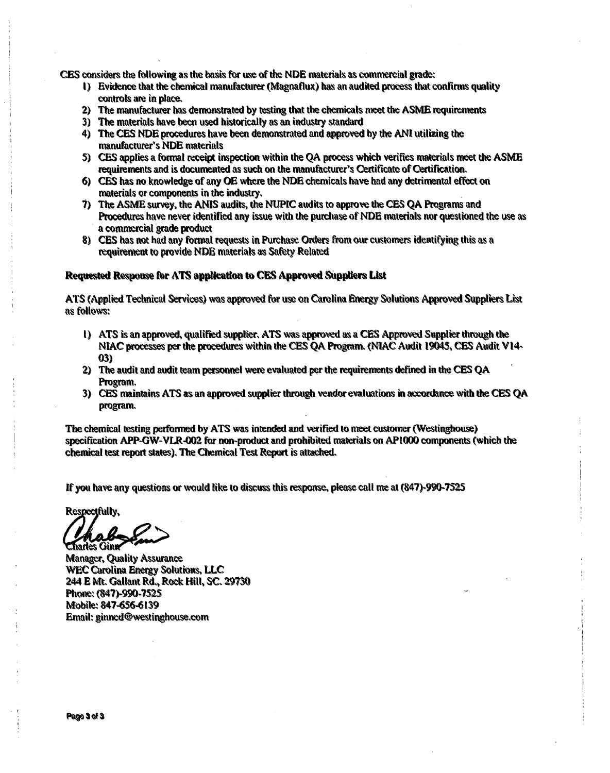- CES considers the following as the basis for use of the NDE materials as commercial grade:<br>1) Evidence that the chemical manufacturer (Magnaflux) has an audited process that confirms quality<br>controls are in place.
	- 2) The manufacturer **has** demonstrated by testing that the chemicals meet the ASME requirements 3) The materials have been used historically as an industry standard
	-
	- 4) The **CES** NDE procedures have been demonstrated and approved by the AN! utilizing the manufacturer's NDE materials
	- 5) **CES** applies a formal receipt inspection within the QA process which verifies materials meet the ASME requirements and is documented as such on the manufacturer's Certificate of Certification.
	- 6) CES has no knowledge of any OE where the NDE chemicals have had any detrimental effect on materials or components in the industry.<br>
	7) The ASME survey, the ANIS audits, the NUPIC audits to approve the CES QA Programs an
	- Procedures have never identified any issue with the purchase of **NDE** materials nor questioned the use as a commercial grade product
	- 8) CES has not had any formal requests in Purchase Orders from our customers identifying this as a requitement to provide **NDE** materials as Safety Related

#### Requested Response for ATS application to CES Approved Suppliers List

ATS (Applied Technical Services) was approved for use on Carolina Energy Solutions Approved Suppliers List as follows:

- **1)** ATS is an approved, qualified supplier, ATS was approved as a **CES** Approved Supplier through the NIAC processes per the procedures within the **CES** QA Program. (NIAC Audit 19045, **CES** Audit V14- **03)**
- 2) The audit and audit team personnel were evaluated per the requirements defined in the **CES** QA Program.
- 3) **CES** maintains ATS as an approved supplier through vendor evaluations in acordance with the **CES** QA program.

The chemical testing performed by ATS was intended and verified to meet customer (Westinghouse)<br>specification APP-GW-VLR-002 for non-product and prohibited materials on AP1000 components (which the<br>chemical test report sta

If you have any questions or would like to discuss this response, please call me at (847)-990-7525

Respectfully,

**Charles Ginn<br>Manager, Quality Assurance** WEC Carolina Energy Solutions, **LLC** 244 **E** Mt, Gallant Rd,, Rock Hill, SC. **29T70** PHONE, USBS PRO TIMIG, 1047*539*-63<br>Amazon - 847*-656-6*13 Mobile: 847-656-6139<br>Email: ginncd@westinghouse.com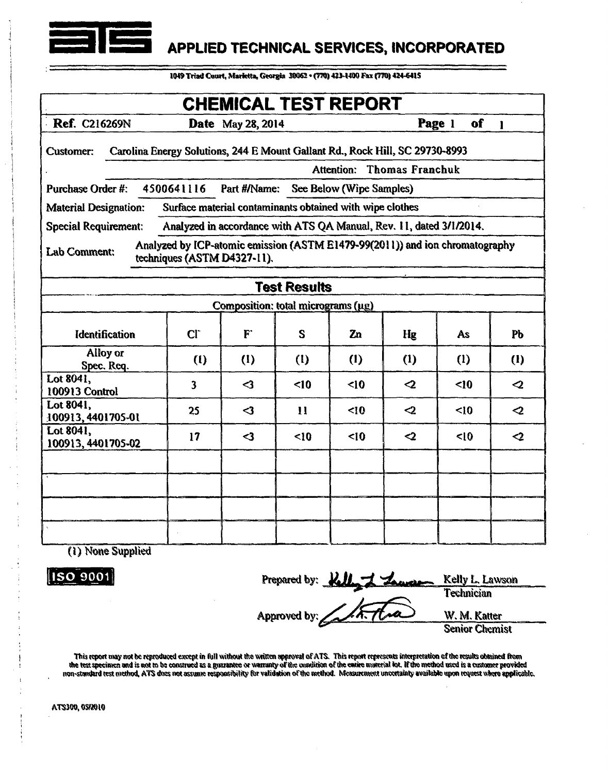

# APPLIED TECHNICAL SERVICES, INCORPORATED

1049 Triad Court, Marietta, Georgia 30062 · (770) 423-1400 Fax (770) 424-6415

| <b>CHEMICAL TEST REPORT</b>                                                                                                                                |                         |                                    |              |                |                 |              |                          |  |  |
|------------------------------------------------------------------------------------------------------------------------------------------------------------|-------------------------|------------------------------------|--------------|----------------|-----------------|--------------|--------------------------|--|--|
| <b>Ref. C216269N</b>                                                                                                                                       |                         | <b>Date</b> May 28, 2014           |              |                |                 | Page 1<br>of | $\blacksquare$           |  |  |
| Carolina Energy Solutions, 244 E Mount Gallant Rd., Rock Hill, SC 29730-8993<br><b>Customer:</b><br><b>Attention: Thomas Franchuk</b>                      |                         |                                    |              |                |                 |              |                          |  |  |
| 4500641116<br>Part #/Name:<br><b>Purchase Order #:</b>                                                                                                     |                         |                                    |              |                |                 |              |                          |  |  |
| See Below (Wipe Samples)<br>Surface material contaminants obtained with wipe clothes                                                                       |                         |                                    |              |                |                 |              |                          |  |  |
| <b>Material Designation:</b><br>Analyzed in accordance with ATS QA Manual, Rev. 11, dated 3/1/2014.                                                        |                         |                                    |              |                |                 |              |                          |  |  |
| <b>Special Requirement:</b><br>Analyzed by ICP-atomic emission (ASTM E1479-99(2011)) and ion chromatography<br>Lab Comment:<br>techniques (ASTM D4327-11). |                         |                                    |              |                |                 |              |                          |  |  |
| <b>Test Results</b>                                                                                                                                        |                         |                                    |              |                |                 |              |                          |  |  |
|                                                                                                                                                            |                         | Composition: total micrograms (µg) |              |                |                 |              |                          |  |  |
| <b>Identification</b>                                                                                                                                      | CI                      | F                                  | S            | Z <sub>n</sub> | Hg              | As           | PЬ                       |  |  |
| Alloy or<br>Spec. Req.                                                                                                                                     | (1)                     | (1)                                | (1)          | (1)            | (1)             | (1)          | (1)                      |  |  |
| Lot 8041.<br>100913 Control                                                                                                                                | $\overline{\mathbf{3}}$ | $\triangleleft$                    | $\leq 10$    | $\leq 10$      | $\mathbf{C}$    | $\leq 10$    | $\mathbf{\triangleleft}$ |  |  |
| Lot 8041,<br>100913, 4401705-01                                                                                                                            | 25                      | $\triangleleft$                    | $\mathbf{1}$ | $\leq 10$      | $\mathbf{C}$    | $\leq 10$    | $\mathbf{Q}$             |  |  |
| Lot 8041,<br>100913, 4401705-02                                                                                                                            | 17                      | $\leq$                             | $\leq 10$    | $\leq$ 10      | $\triangleleft$ | < 10         | $\mathbf{C}$             |  |  |
|                                                                                                                                                            |                         |                                    |              |                |                 |              |                          |  |  |
|                                                                                                                                                            |                         |                                    |              |                |                 |              |                          |  |  |
|                                                                                                                                                            |                         |                                    |              |                |                 |              |                          |  |  |
|                                                                                                                                                            |                         |                                    |              |                |                 |              |                          |  |  |

(1) None Supplied

**ISO** 9001

Prepared by: Kelly 1 Lawson Kelly L. Lawson **Technician** Approved by: W. M. Katter **Senior Chemist** 

This report may not be reproduced except in full without the written approval of ATS. This report represents interpretation of the results obtained from the test specimen and is not to be construed as a guarantee or warranty of the exmittion of the entire material lot. If the method used is a customer provided the test specimen and is not to be construed as a guarantee or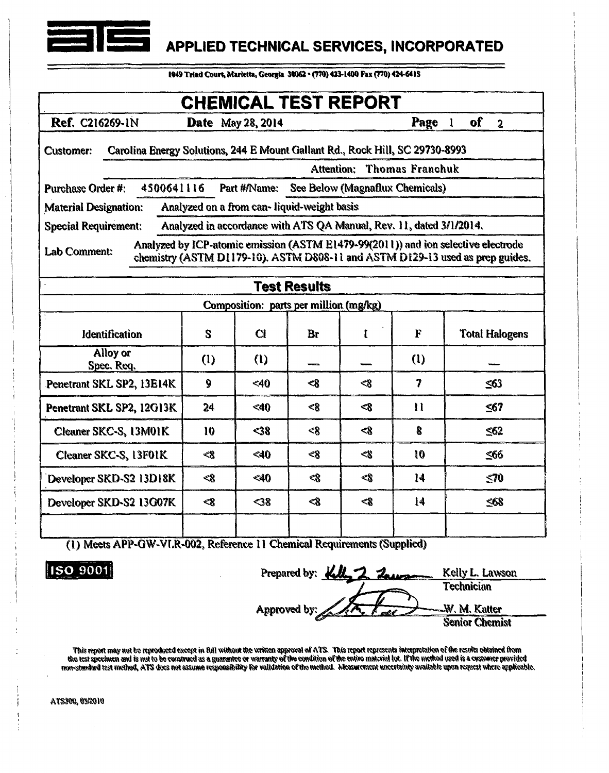

### **I** f APPLIED **TECHNICAL SERVICES,** INCORPORATED

1049 Triad Court, Marietta, Georgia 30062 · (770) 423-1400 Fax (770) 424-6415

| <b>CHEMICAL TEST REPORT</b>                                                                                                                                                        |       |              |                   |         |              |                                             |  |  |  |
|------------------------------------------------------------------------------------------------------------------------------------------------------------------------------------|-------|--------------|-------------------|---------|--------------|---------------------------------------------|--|--|--|
| Ref. C216269-1N                                                                                                                                                                    |       |              | Date May 28, 2014 |         |              | <b>of</b><br>$\mathbf{I}$<br>$\overline{2}$ |  |  |  |
| Carolina Energy Solutions, 244 E Mount Gallant Rd., Rock Hill, SC 29730-8993<br><b>Customer:</b>                                                                                   |       |              |                   |         |              |                                             |  |  |  |
| Attention: Thomas Franchuk                                                                                                                                                         |       |              |                   |         |              |                                             |  |  |  |
| 4500641116<br>Part #/Name: See Below (Magnaflux Chemicals)<br>Purchase Order #:                                                                                                    |       |              |                   |         |              |                                             |  |  |  |
| Analyzed on a from can-liquid-weight basis<br><b>Material Designation:</b>                                                                                                         |       |              |                   |         |              |                                             |  |  |  |
| Analyzed in accordance with ATS QA Manual, Rev. 11, dated 3/1/2014.<br><b>Special Requirement:</b>                                                                                 |       |              |                   |         |              |                                             |  |  |  |
| Analyzed by ICP-atomic emission (ASTM E1479-99(2011)) and ion selective electrode<br>Lab Comment:<br>chemistry (ASTM D1179-10). ASTM D808-11 and ASTM D129-13 used as prep guides. |       |              |                   |         |              |                                             |  |  |  |
|                                                                                                                                                                                    |       |              |                   |         |              |                                             |  |  |  |
| <b>Test Results</b>                                                                                                                                                                |       |              |                   |         |              |                                             |  |  |  |
| Composition: parts per million (mg/kg)                                                                                                                                             |       |              |                   |         |              |                                             |  |  |  |
| Identification                                                                                                                                                                     | S     | $\alpha$     | Br                | ľ       | F            | <b>Total Halogens</b>                       |  |  |  |
| Alloy or<br>Spec. Req.                                                                                                                                                             | (1)   | $\mathbf{u}$ |                   |         | (1)          |                                             |  |  |  |
| Penetrant SKL SP2, 13E14K                                                                                                                                                          | 9     | $<$ 40       | < 8               | < 8     | 7            | $\leq 63$                                   |  |  |  |
| Penetrant SKL SP2, 12G13K                                                                                                                                                          | 24    | $<$ 40       | $\ll 8$           | <8      | $\mathbf{u}$ | $\leq 67$                                   |  |  |  |
| Cleaner SKC-S, 13M01K                                                                                                                                                              | 10    | $38$         | $\ll 8$           | $\ll 8$ | 8            | $\leq 62$                                   |  |  |  |
| Cleaner SKC-S, 13F01K                                                                                                                                                              | <8    | <40          | <8                | <8      | 10           | ≤66                                         |  |  |  |
| Developer SKD-S2 13D18K                                                                                                                                                            | <8    | <40          | <8                | <8      | 14           | $\leq 70$                                   |  |  |  |
| Developer SKD-S2 13G07K                                                                                                                                                            | $\ll$ | $<$ 38       | $\ll 8$           | <8      | 14           | $\leq 68$                                   |  |  |  |
|                                                                                                                                                                                    |       |              |                   |         |              |                                             |  |  |  |

(I) Meets APP-GW-Vt.R-002, Reference **I I** Chemical Requirements (Supplied)

**ISO 9001** Prepared by: **All 2 2 Manual** Kelly L. Lawson **Technician** Approved by:  $\sqrt{M_{\star} + \omega}$  M. M. Katter Senior Chemist

fthis report may not be reproduced except in flul without the written approval of ATS. This report represents interpretation of the results obtained mano flulo mano be constructed by a customer provided by a customer provi